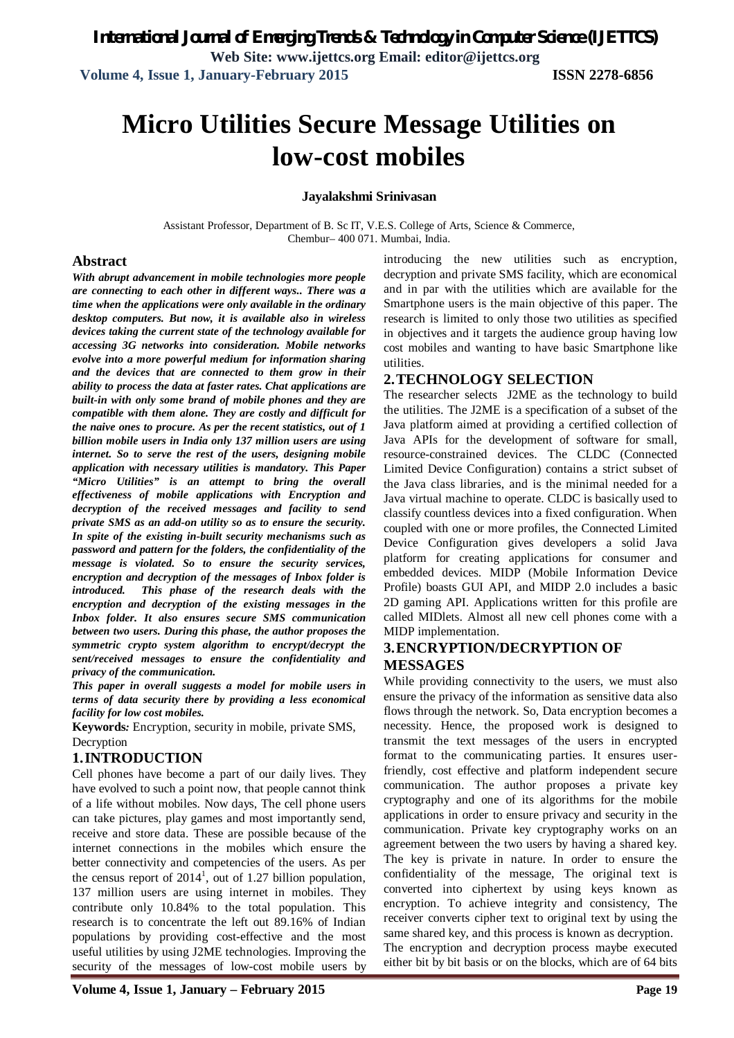# **Micro Utilities Secure Message Utilities on low-cost mobiles**

#### **Jayalakshmi Srinivasan**

Assistant Professor, Department of B. Sc IT, V.E.S. College of Arts, Science & Commerce, Chembur– 400 071. Mumbai, India.

#### **Abstract**

*With abrupt advancement in mobile technologies more people are connecting to each other in different ways.. There was a time when the applications were only available in the ordinary desktop computers. But now, it is available also in wireless devices taking the current state of the technology available for accessing 3G networks into consideration. Mobile networks evolve into a more powerful medium for information sharing and the devices that are connected to them grow in their ability to process the data at faster rates. Chat applications are built-in with only some brand of mobile phones and they are compatible with them alone. They are costly and difficult for the naive ones to procure. As per the recent statistics, out of 1 billion mobile users in India only 137 million users are using internet. So to serve the rest of the users, designing mobile application with necessary utilities is mandatory. This Paper "Micro Utilities" is an attempt to bring the overall effectiveness of mobile applications with Encryption and decryption of the received messages and facility to send private SMS as an add-on utility so as to ensure the security. In spite of the existing in-built security mechanisms such as password and pattern for the folders, the confidentiality of the message is violated. So to ensure the security services, encryption and decryption of the messages of Inbox folder is introduced. This phase of the research deals with the encryption and decryption of the existing messages in the Inbox folder. It also ensures secure SMS communication between two users. During this phase, the author proposes the symmetric crypto system algorithm to encrypt/decrypt the sent/received messages to ensure the confidentiality and privacy of the communication.* 

*This paper in overall suggests a model for mobile users in terms of data security there by providing a less economical facility for low cost mobiles.*

**Keywords***:* Encryption, security in mobile, private SMS, Decryption

#### **1.INTRODUCTION**

Cell phones have become a part of our daily lives. They have evolved to such a point now, that people cannot think of a life without mobiles. Now days, The cell phone users can take pictures, play games and most importantly send, receive and store data. These are possible because of the internet connections in the mobiles which ensure the better connectivity and competencies of the users. As per the census report of  $2014<sup>1</sup>$ , out of 1.27 billion population, 137 million users are using internet in mobiles. They contribute only 10.84% to the total population. This research is to concentrate the left out 89.16% of Indian populations by providing cost-effective and the most useful utilities by using J2ME technologies. Improving the security of the messages of low-cost mobile users by

introducing the new utilities such as encryption, decryption and private SMS facility, which are economical and in par with the utilities which are available for the Smartphone users is the main objective of this paper. The research is limited to only those two utilities as specified in objectives and it targets the audience group having low cost mobiles and wanting to have basic Smartphone like utilities.

#### **2.TECHNOLOGY SELECTION**

The researcher selects J2ME as the technology to build the utilities. The J2ME is a specification of a subset of the Java platform aimed at providing a certified collection of Java APIs for the development of software for small, resource-constrained devices. The CLDC (Connected Limited Device Configuration) contains a strict subset of the Java class libraries, and is the minimal needed for a Java virtual machine to operate. CLDC is basically used to classify countless devices into a fixed configuration. When coupled with one or more profiles, the Connected Limited Device Configuration gives developers a solid Java platform for creating applications for consumer and embedded devices. MIDP (Mobile Information Device Profile) boasts GUI API, and MIDP 2.0 includes a basic 2D gaming API. Applications written for this profile are called MIDlets. Almost all new cell phones come with a MIDP implementation.

## **3.ENCRYPTION/DECRYPTION OF MESSAGES**

While providing connectivity to the users, we must also ensure the privacy of the information as sensitive data also flows through the network. So, Data encryption becomes a necessity. Hence, the proposed work is designed to transmit the text messages of the users in encrypted format to the communicating parties. It ensures userfriendly, cost effective and platform independent secure communication. The author proposes a private key cryptography and one of its algorithms for the mobile applications in order to ensure privacy and security in the communication. Private key cryptography works on an agreement between the two users by having a shared key. The key is private in nature. In order to ensure the confidentiality of the message, The original text is converted into ciphertext by using keys known as encryption. To achieve integrity and consistency, The receiver converts cipher text to original text by using the same shared key, and this process is known as decryption. The encryption and decryption process maybe executed either bit by bit basis or on the blocks, which are of 64 bits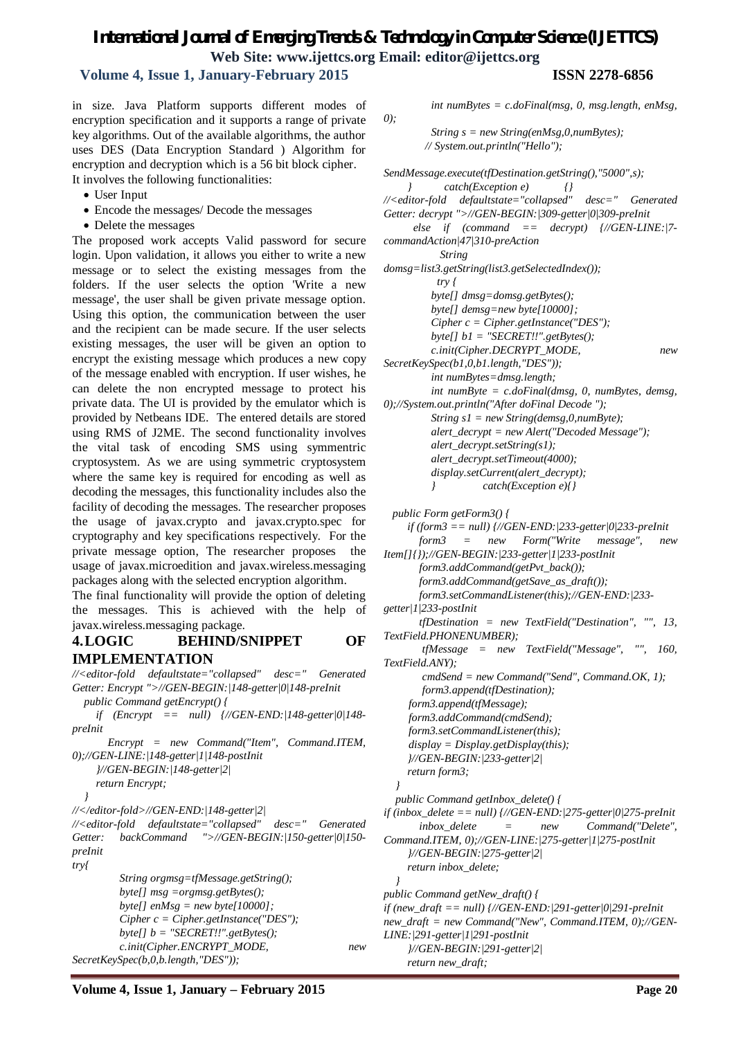# *International Journal of Emerging Trends & Technology in Computer Science (IJETTCS)* **Web Site: www.ijettcs.org Email: editor@ijettcs.org**

## **Volume 4, Issue 1, January-February 2015 ISSN 2278-6856**

in size. Java Platform supports different modes of encryption specification and it supports a range of private key algorithms. Out of the available algorithms, the author uses DES (Data Encryption Standard ) Algorithm for encryption and decryption which is a 56 bit block cipher. It involves the following functionalities:

- User Input
- Encode the messages/ Decode the messages
- Delete the messages

The proposed work accepts Valid password for secure login. Upon validation, it allows you either to write a new message or to select the existing messages from the folders. If the user selects the option 'Write a new message', the user shall be given private message option. Using this option, the communication between the user and the recipient can be made secure. If the user selects existing messages, the user will be given an option to encrypt the existing message which produces a new copy of the message enabled with encryption. If user wishes, he can delete the non encrypted message to protect his private data. The UI is provided by the emulator which is provided by Netbeans IDE. The entered details are stored using RMS of J2ME. The second functionality involves the vital task of encoding SMS using symmentric cryptosystem. As we are using symmetric cryptosystem where the same key is required for encoding as well as decoding the messages, this functionality includes also the facility of decoding the messages. The researcher proposes the usage of javax.crypto and javax.crypto.spec for cryptography and key specifications respectively. For the private message option, The researcher proposes the usage of javax.microedition and javax.wireless.messaging packages along with the selected encryption algorithm.

The final functionality will provide the option of deleting the messages. This is achieved with the help of javax.wireless.messaging package.

## **4.LOGIC BEHIND/SNIPPET OF IMPLEMENTATION**

*//<editor-fold defaultstate="collapsed" desc=" Generated Getter: Encrypt ">//GEN-BEGIN:|148-getter|0|148-preInit public Command getEncrypt() { if (Encrypt == null) {//GEN-END:|148-getter|0|148 preInit Encrypt = new Command("Item", Command.ITEM, 0);//GEN-LINE:|148-getter|1|148-postInit }//GEN-BEGIN:|148-getter|2| return Encrypt; } //</editor-fold>//GEN-END:|148-getter|2| //<editor-fold defaultstate="collapsed" desc=" Generated Getter: backCommand ">//GEN-BEGIN:|150-getter|0|150 preInit try{ String orgmsg=tfMessage.getString(); byte[] msg =orgmsg.getBytes(); byte[] enMsg = new byte[10000]; Cipher c = Cipher.getInstance("DES"); byte[] b = "SECRET!!".getBytes(); c.init(Cipher.ENCRYPT\_MODE, new SecretKeySpec(b,0,b.length,"DES"));*

 *int numBytes = c.doFinal(msg, 0, msg.length, enMsg,* 

 *String s = new String(enMsg,0,numBytes); // System.out.println("Hello");*

*SendMessage.execute(tfDestination.getString(),"5000",s); } catch(Exception e) {} //<editor-fold defaultstate="collapsed" desc=" Generated Getter: decrypt ">//GEN-BEGIN:|309-getter|0|309-preInit else if (command == decrypt) {//GEN-LINE:|7 commandAction|47|310-preAction String domsg=list3.getString(list3.getSelectedIndex()); try { byte[] dmsg=domsg.getBytes(); byte[] demsg=new byte[10000]; Cipher c = Cipher.getInstance("DES"); byte[] b1 = "SECRET!!".getBytes(); c.init(Cipher.DECRYPT\_MODE, new SecretKeySpec(b1,0,b1.length,"DES")); int numBytes=dmsg.length; int numByte = c.doFinal(dmsg, 0, numBytes, demsg, 0);//System.out.println("After doFinal Decode "); String s1 = new String(demsg,0,numByte); alert\_decrypt = new Alert("Decoded Message"); alert\_decrypt.setString(s1); alert\_decrypt.setTimeout(4000); display.setCurrent(alert\_decrypt); } catch(Exception e){} public Form getForm3() { if (form3 == null) {//GEN-END:|233-getter|0|233-preInit form3 = new Form("Write message", new Item[]{});//GEN-BEGIN:|233-getter|1|233-postInit form3.addCommand(getPvt\_back()); form3.addCommand(getSave\_as\_draft()); form3.setCommandListener(this);//GEN-END:|233 getter|1|233-postInit tfDestination = new TextField("Destination", "", 13, TextField.PHONENUMBER); tfMessage = new TextField("Message", "", 160, TextField.ANY); cmdSend = new Command("Send", Command.OK, 1); form3.append(tfDestination); form3.append(tfMessage); form3.addCommand(cmdSend); form3.setCommandListener(this); display = Display.getDisplay(this); }//GEN-BEGIN:|233-getter|2| return form3; } public Command getInbox\_delete() { if (inbox\_delete == null) {//GEN-END:|275-getter|0|275-preInit inbox\_delete = new Command("Delete", Command.ITEM, 0);//GEN-LINE:|275-getter|1|275-postInit }//GEN-BEGIN:|275-getter|2| return inbox\_delete; } public Command getNew\_draft() { if (new\_draft == null) {//GEN-END:|291-getter|0|291-preInit new\_draft = new Command("New", Command.ITEM, 0);//GEN-LINE:|291-getter|1|291-postInit }//GEN-BEGIN:|291-getter|2| return new\_draft;*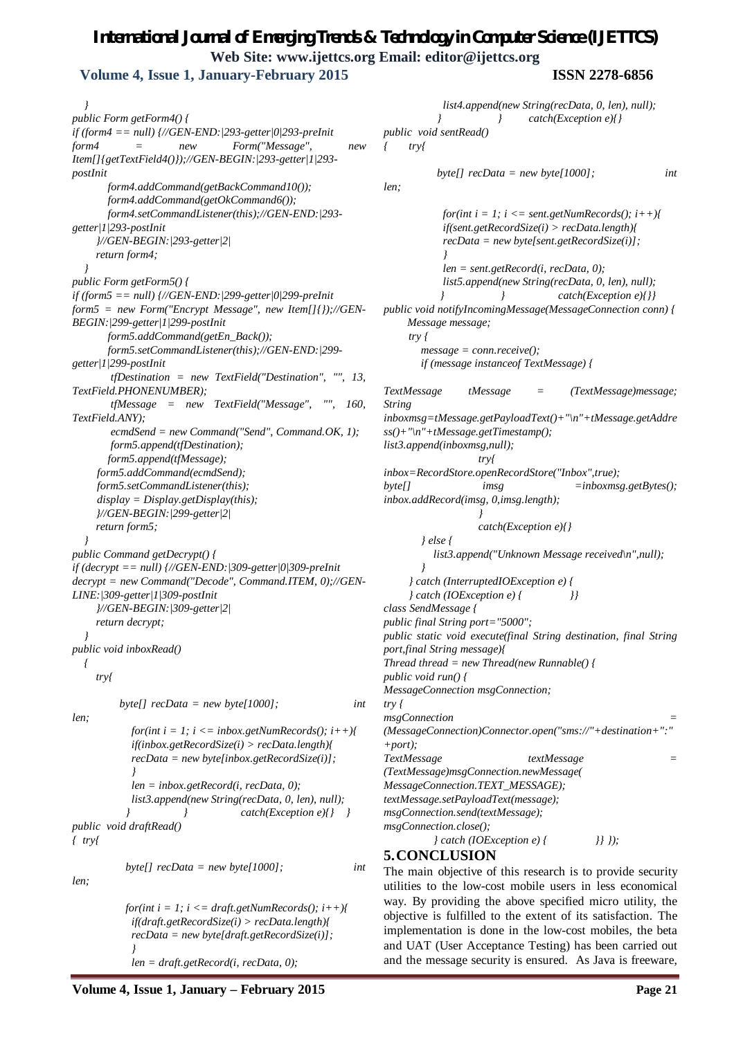# *International Journal of Emerging Trends & Technology in Computer Science (IJETTCS)* **Web Site: www.ijettcs.org Email: editor@ijettcs.org Volume 4, Issue 1, January-February 2015 ISSN 2278-6856**

 *} public Form getForm4() { if (form4 == null) {//GEN-END:|293-getter|0|293-preInit form4 = new Form("Message", new Item[]{getTextField4()});//GEN-BEGIN:|293-getter|1|293 postInit form4.addCommand(getBackCommand10()); form4.addCommand(getOkCommand6()); form4.setCommandListener(this);//GEN-END:|293 getter|1|293-postInit }//GEN-BEGIN:|293-getter|2| return form4; } public Form getForm5() { if (form5 == null) {//GEN-END:|299-getter|0|299-preInit form5 = new Form("Encrypt Message", new Item[]{});//GEN-BEGIN:|299-getter|1|299-postInit form5.addCommand(getEn\_Back()); form5.setCommandListener(this);//GEN-END:|299 getter|1|299-postInit tfDestination = new TextField("Destination", "", 13, TextField.PHONENUMBER); tfMessage = new TextField("Message", "", 160, TextField.ANY); ecmdSend = new Command("Send", Command.OK, 1); form5.append(tfDestination); form5.append(tfMessage); form5.addCommand(ecmdSend); form5.setCommandListener(this); display = Display.getDisplay(this); }//GEN-BEGIN:|299-getter|2| return form5; } public Command getDecrypt() { if (decrypt == null) {//GEN-END:|309-getter|0|309-preInit decrypt = new Command("Decode", Command.ITEM, 0);//GEN-LINE:|309-getter|1|309-postInit }//GEN-BEGIN:|309-getter|2| return decrypt; } public void inboxRead() { try{ byte[] recData = new byte[1000]; int len; for(int i = 1; i <= inbox.getNumRecords(); i++){ if(inbox.getRecordSize(i) > recData.length){ recData = new byte[inbox.getRecordSize(i)]; } len = inbox.getRecord(i, recData, 0); list3.append(new String(recData, 0, len), null); } } catch(Exception e){} } public void draftRead() { try{ byte[] recData = new byte[1000]; int len; for(int i = 1; i <= draft.getNumRecords(); i++){ if(draft.getRecordSize(i) > recData.length){ recData = new byte[draft.getRecordSize(i)]; }*

 *len = draft.getRecord(i, recData, 0);*

 *list4.append(new String(recData, 0, len), null); } } catch(Exception e){} public void sentRead() { try{ byte[] recData = new byte[1000]; int len; for(int i = 1; i <= sent.getNumRecords(); i++){ if(sent.getRecordSize(i) > recData.length){ recData = new byte[sent.getRecordSize(i)]; } len = sent.getRecord(i, recData, 0); list5.append(new String(recData, 0, len), null); } } catch(Exception e){}} public void notifyIncomingMessage(MessageConnection conn) { Message message; try { message = conn.receive(); if (message instanceof TextMessage) { TextMessage tMessage = (TextMessage)message; String inboxmsg=tMessage.getPayloadText()+"\n"+tMessage.getAddre ss()+"\n"+tMessage.getTimestamp(); list3.append(inboxmsg,null); try{ inbox=RecordStore.openRecordStore("Inbox",true); byte[] imsg =inboxmsg.getBytes(); inbox.addRecord(imsg, 0,imsg.length); } catch(Exception e){} } else { list3.append("Unknown Message received\n",null); } } catch (InterruptedIOException e) { } catch (IOException e) { }} class SendMessage { public final String port="5000"; public static void execute(final String destination, final String port,final String message){ Thread thread = new Thread(new Runnable() { public void run() { MessageConnection msgConnection; try { msgConnection = (MessageConnection)Connector.open("sms://"+destination+":" +port); TextMessage textMessage = (TextMessage)msgConnection.newMessage( MessageConnection.TEXT\_MESSAGE); textMessage.setPayloadText(message); msgConnection.send(textMessage); msgConnection.close();*

*} catch (IOException e) { }} });*

# **5.CONCLUSION**

The main objective of this research is to provide security utilities to the low-cost mobile users in less economical way. By providing the above specified micro utility, the objective is fulfilled to the extent of its satisfaction. The implementation is done in the low-cost mobiles, the beta and UAT (User Acceptance Testing) has been carried out and the message security is ensured. As Java is freeware,